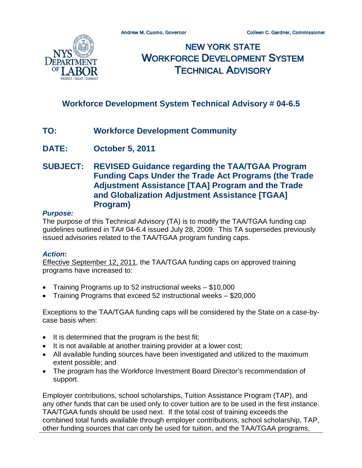

NEW YORK STATE WORKFORCE DEVELOPMENT SYSTEM TECHNICAL ADVISORY

# **Workforce Development System Technical Advisory # 04-6.5**

- **TO: Workforce Development Community**
- **DATE: October 5, 2011**
- **SUBJECT: REVISED Guidance regarding the TAA/TGAA Program Funding Caps Under the Trade Act Programs (the Trade Adjustment Assistance [TAA] Program and the Trade and Globalization Adjustment Assistance [TGAA] Program)**

#### *Purpose:*

The purpose of this Technical Advisory (TA) is to modify the TAA/TGAA funding cap guidelines outlined in TA# 04-6.4 issued July 28, 2009. This TA supersedes previously issued advisories related to the TAA/TGAA program funding caps.

### *Action***:**

Effective September 12, 2011, the TAA/TGAA funding caps on approved training programs have increased to:

- Training Programs up to 52 instructional weeks \$10,000
- Training Programs that exceed 52 instructional weeks \$20,000

Exceptions to the TAA/TGAA funding caps will be considered by the State on a case-bycase basis when:

- It is determined that the program is the best fit;
- It is not available at another training provider at a lower cost;
- All available funding sources have been investigated and utilized to the maximum extent possible; and
- The program has the Workforce Investment Board Director's recommendation of support.

Employer contributions, school scholarships, Tuition Assistance Program (TAP), and any other funds that can be used only to cover tuition are to be used in the first instance. TAA/TGAA funds should be used next. If the total cost of training exceeds the combined total funds available through employer contributions, school scholarship, TAP, other funding sources that can only be used for tuition, and the TAA/TGAA programs,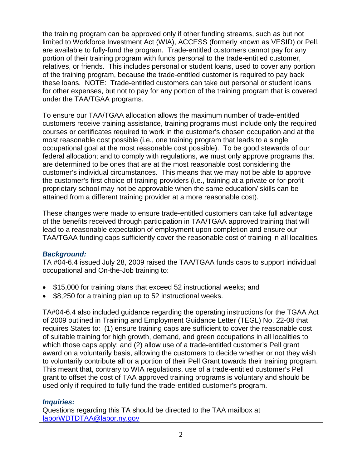the training program can be approved only if other funding streams, such as but not limited to Workforce Investment Act (WIA), ACCESS (formerly known as VESID) or Pell, are available to fully-fund the program. Trade-entitled customers cannot pay for any portion of their training program with funds personal to the trade-entitled customer, relatives, or friends. This includes personal or student loans, used to cover any portion of the training program, because the trade-entitled customer is required to pay back these loans. NOTE: Trade-entitled customers can take out personal or student loans for other expenses, but not to pay for any portion of the training program that is covered under the TAA/TGAA programs.

To ensure our TAA/TGAA allocation allows the maximum number of trade-entitled customers receive training assistance, training programs must include only the required courses or certificates required to work in the customer's chosen occupation and at the most reasonable cost possible (i.e., one training program that leads to a single occupational goal at the most reasonable cost possible). To be good stewards of our federal allocation; and to comply with regulations, we must only approve programs that are determined to be ones that are at the most reasonable cost considering the customer's individual circumstances. This means that we may not be able to approve the customer's first choice of training providers (i.e., training at a private or for-profit proprietary school may not be approvable when the same education/ skills can be attained from a different training provider at a more reasonable cost).

These changes were made to ensure trade-entitled customers can take full advantage of the benefits received through participation in TAA/TGAA approved training that will lead to a reasonable expectation of employment upon completion and ensure our TAA/TGAA funding caps sufficiently cover the reasonable cost of training in all localities.

## *Background:*

TA #04-6.4 issued July 28, 2009 raised the TAA/TGAA funds caps to support individual occupational and On-the-Job training to:

- \$15,000 for training plans that exceed 52 instructional weeks; and
- \$8,250 for a training plan up to 52 instructional weeks.

TA#04-6.4 also included guidance regarding the operating instructions for the TGAA Act of 2009 outlined in Training and Employment Guidance Letter (TEGL) No. 22-08 that requires States to: (1) ensure training caps are sufficient to cover the reasonable cost of suitable training for high growth, demand, and green occupations in all localities to which those caps apply; and (2) allow use of a trade-entitled customer's Pell grant award on a voluntarily basis, allowing the customers to decide whether or not they wish to voluntarily contribute all or a portion of their Pell Grant towards their training program. This meant that, contrary to WIA regulations, use of a trade-entitled customer's Pell grant to offset the cost of TAA approved training programs is voluntary and should be used only if required to fully-fund the trade-entitled customer's program.

## *Inquiries:*

Questions regarding this TA should be directed to the TAA mailbox at [laborWDTDTAA@labor.ny.gov](mailto:laborWDTDTAA@labor.ny.gov)